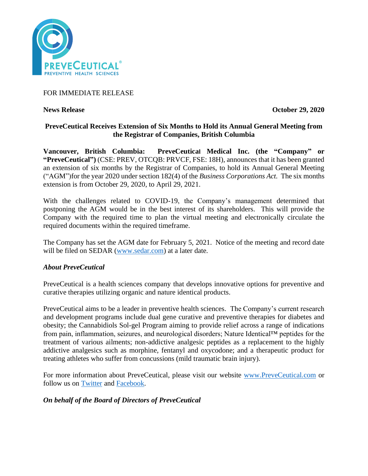

# FOR IMMEDIATE RELEASE

**News Release October 29, 2020** 

# **PreveCeutical Receives Extension of Six Months to Hold its Annual General Meeting from the Registrar of Companies, British Columbia**

**Vancouver, British Columbia: PreveCeutical Medical Inc. (the "Company" or "PreveCeutical")** (CSE: PREV, OTCQB: PRVCF, FSE: 18H), announces that it has been granted an extension of six months by the Registrar of Companies, to hold its Annual General Meeting ("AGM")for the year 2020 under section 182(4) of the *Business Corporations Act.* The six months extension is from October 29, 2020, to April 29, 2021.

With the challenges related to COVID-19, the Company's management determined that postponing the AGM would be in the best interest of its shareholders. This will provide the Company with the required time to plan the virtual meeting and electronically circulate the required documents within the required timeframe.

The Company has set the AGM date for February 5, 2021. Notice of the meeting and record date will be filed on SEDAR [\(www.sedar.com\)](http://www.sedar.com/) at a later date.

## *About PreveCeutical*

PreveCeutical is a health sciences company that develops innovative options for preventive and curative therapies utilizing organic and nature identical products.

PreveCeutical aims to be a leader in preventive health sciences. The Company's current research and development programs include dual gene curative and preventive therapies for diabetes and obesity; the Cannabidiols Sol-gel Program aiming to provide relief across a range of indications from pain, inflammation, seizures, and neurological disorders; Nature Identical™ peptides for the treatment of various ailments; non-addictive analgesic peptides as a replacement to the highly addictive analgesics such as morphine, fentanyl and oxycodone; and a therapeutic product for treating athletes who suffer from concussions (mild traumatic brain injury).

For more information about PreveCeutical, please visit our website [www.PreveCeutical.com](http://www.preveceutical.com/) or follow us on [Twitter](http://twitter.com/PreveCeuticals) and [Facebook.](http://www.facebook.com/PreveCeutical)

## *On behalf of the Board of Directors of PreveCeutical*